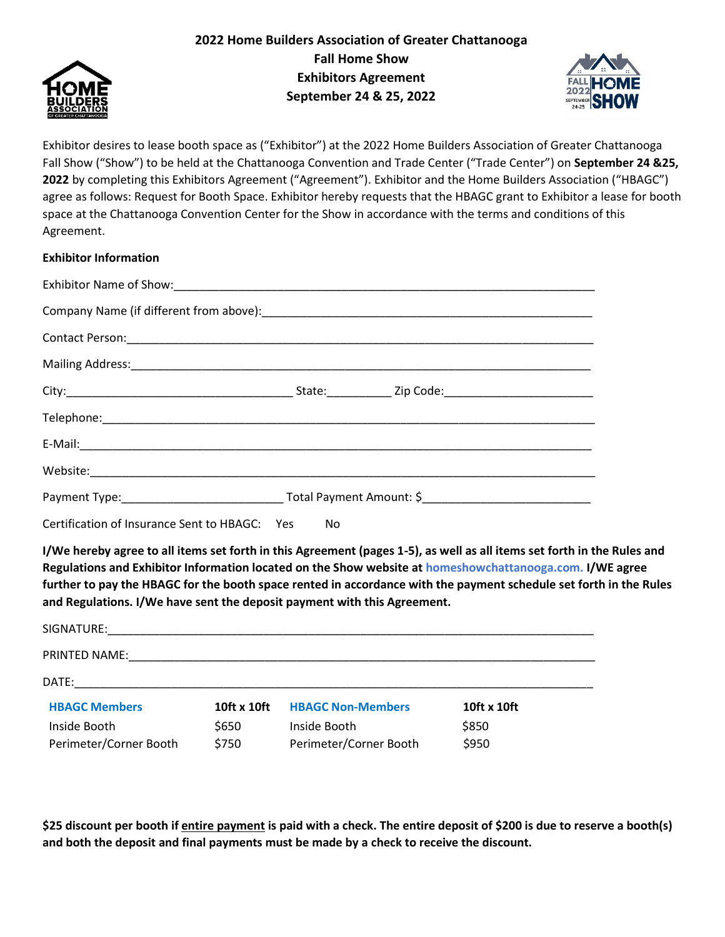



Exhibitor desires to lease booth space as ("Exhibitor") at the 2022 Home Builders Association of Greater Chattanooga Fall Show ("Show") to be held at the Chattanooga Convention and Trade Center ("Trade Center") on **September 24 &25, 2022** by completing this Exhibitors Agreement ("Agreement"). Exhibitor and the Home Builders Association ("HBAGC") agree as follows: Request for Booth Space. Exhibitor hereby requests that the HBAGC grant to Exhibitor a lease for booth space at the Chattanooga Convention Center for the Show in accordance with the terms and conditions of this Agreement.

## **Exhibitor Information**

| Certification of Insurance Sent to HBAGC: Yes No |  |  |  |
|--------------------------------------------------|--|--|--|

**I/We hereby agree to all items set forth in this Agreement (pages 1-5), as well as all items set forth in the Rules and Regulations and Exhibitor Information located on the Show website at homeshowchattanooga.com. I/WE agree further to pay the HBAGC for the booth space rented in accordance with the payment schedule set forth in the Rules and Regulations. I/We have sent the deposit payment with this Agreement.** 

| SIGNATURE:                             |                |                                        |                |
|----------------------------------------|----------------|----------------------------------------|----------------|
| <b>PRINTED NAME:</b>                   |                |                                        |                |
| DATE:                                  |                |                                        |                |
| <b>HBAGC Members</b>                   | 10ft x 10ft    | <b>HBAGC Non-Members</b>               | 10ft x 10ft    |
| Inside Booth<br>Perimeter/Corner Booth | \$650<br>\$750 | Inside Booth<br>Perimeter/Corner Booth | \$850<br>\$950 |

**\$25 discount per booth if entire payment is paid with a check. The entire deposit of \$200 is due to reserve a booth(s) and both the deposit and final payments must be made by a check to receive the discount.**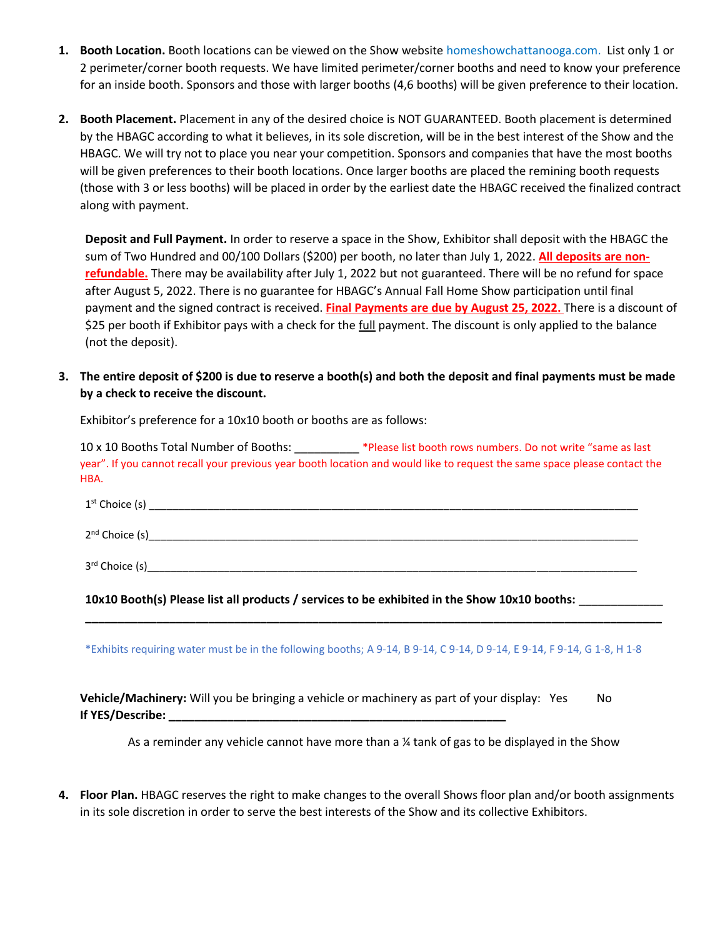- **1. Booth Location.** Booth locations can be viewed on the Show website homeshowchattanooga.com. List only 1 or 2 perimeter/corner booth requests. We have limited perimeter/corner booths and need to know your preference for an inside booth. Sponsors and those with larger booths (4,6 booths) will be given preference to their location.
- **2. Booth Placement.** Placement in any of the desired choice is NOT GUARANTEED. Booth placement is determined by the HBAGC according to what it believes, in its sole discretion, will be in the best interest of the Show and the HBAGC. We will try not to place you near your competition. Sponsors and companies that have the most booths will be given preferences to their booth locations. Once larger booths are placed the remining booth requests (those with 3 or less booths) will be placed in order by the earliest date the HBAGC received the finalized contract along with payment.

**Deposit and Full Payment.** In order to reserve a space in the Show, Exhibitor shall deposit with the HBAGC the sum of Two Hundred and 00/100 Dollars (\$200) per booth, no later than July 1, 2022. **All deposits are nonrefundable.** There may be availability after July 1, 2022 but not guaranteed. There will be no refund for space after August 5, 2022. There is no guarantee for HBAGC's Annual Fall Home Show participation until final payment and the signed contract is received. **Final Payments are due by August 25, 2022.** There is a discount of \$25 per booth if Exhibitor pays with a check for the full payment. The discount is only applied to the balance (not the deposit).

## **3. The entire deposit of \$200 is due to reserve a booth(s) and both the deposit and final payments must be made by a check to receive the discount.**

10 x 10 Booths Total Number of Booths: \_\_\_\_\_\_\_\_\_\_ \*Please list booth rows numbers. Do not write "same as last year". If you cannot recall your previous year booth location and would like to request the same space please contact the HBA.

| $1st$ Choice (s)           |  |  |
|----------------------------|--|--|
| 2 <sup>nd</sup> Choice (s) |  |  |
| 3rd Choice (s)             |  |  |

**10x10 Booth(s) Please list all products / services to be exhibited in the Show 10x10 booths:** \_\_\_\_\_\_\_\_\_\_\_\_\_

\*Exhibits requiring water must be in the following booths; A 9-14, B 9-14, C 9-14, D 9-14, E 9-14, F 9-14, G 1-8, H 1-8

**\_\_\_\_\_\_\_\_\_\_\_\_\_\_\_\_\_\_\_\_\_\_\_\_\_\_\_\_\_\_\_\_\_\_\_\_\_\_\_\_\_\_\_\_\_\_\_\_\_\_\_\_\_\_\_\_\_\_\_\_\_\_\_\_\_\_\_\_\_\_\_\_\_\_\_\_\_\_\_\_\_\_\_\_\_\_\_\_\_**

**Vehicle/Machinery:** Will you be bringing a vehicle or machinery as part of your display: Yes No **If YES/Describe: \_\_\_\_\_\_\_\_\_\_\_\_\_\_\_\_\_\_\_\_\_\_\_\_\_\_\_\_\_\_\_\_\_\_\_\_\_\_\_\_\_\_\_\_\_\_\_\_\_\_\_\_**

As a reminder any vehicle cannot have more than a <sup>14</sup> tank of gas to be displayed in the Show

**4. Floor Plan.** HBAGC reserves the right to make changes to the overall Shows floor plan and/or booth assignments in its sole discretion in order to serve the best interests of the Show and its collective Exhibitors.

Exhibitor's preference for a 10x10 booth or booths are as follows: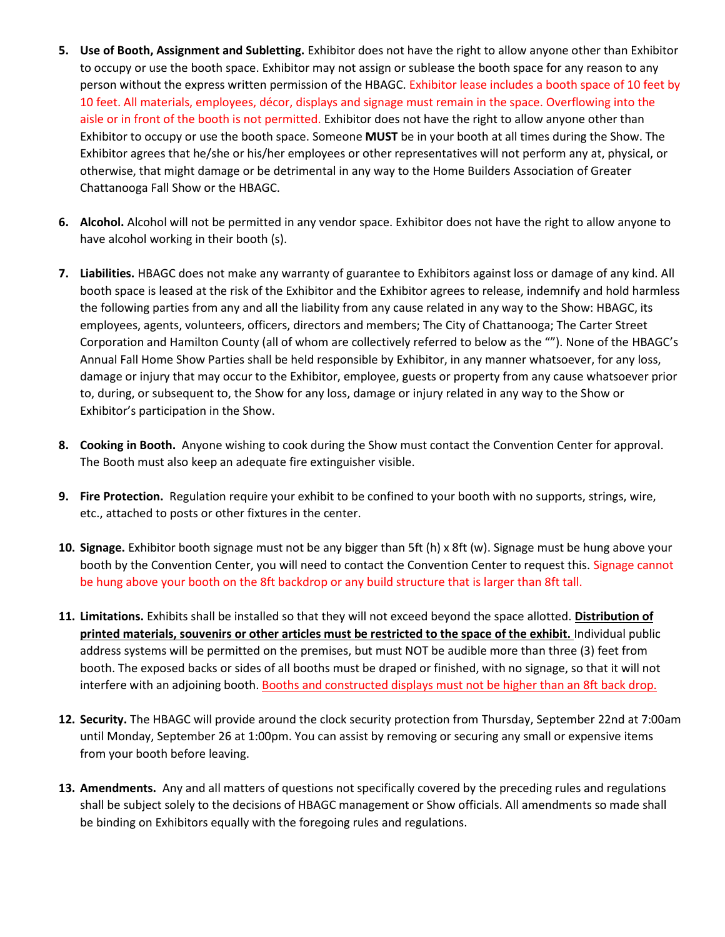- **5. Use of Booth, Assignment and Subletting.** Exhibitor does not have the right to allow anyone other than Exhibitor to occupy or use the booth space. Exhibitor may not assign or sublease the booth space for any reason to any person without the express written permission of the HBAGC. Exhibitor lease includes a booth space of 10 feet by 10 feet. All materials, employees, décor, displays and signage must remain in the space. Overflowing into the aisle or in front of the booth is not permitted. Exhibitor does not have the right to allow anyone other than Exhibitor to occupy or use the booth space. Someone **MUST** be in your booth at all times during the Show. The Exhibitor agrees that he/she or his/her employees or other representatives will not perform any at, physical, or otherwise, that might damage or be detrimental in any way to the Home Builders Association of Greater Chattanooga Fall Show or the HBAGC.
- **6. Alcohol.** Alcohol will not be permitted in any vendor space. Exhibitor does not have the right to allow anyone to have alcohol working in their booth (s).
- **7. Liabilities.** HBAGC does not make any warranty of guarantee to Exhibitors against loss or damage of any kind. All booth space is leased at the risk of the Exhibitor and the Exhibitor agrees to release, indemnify and hold harmless the following parties from any and all the liability from any cause related in any way to the Show: HBAGC, its employees, agents, volunteers, officers, directors and members; The City of Chattanooga; The Carter Street Corporation and Hamilton County (all of whom are collectively referred to below as the ""). None of the HBAGC's Annual Fall Home Show Parties shall be held responsible by Exhibitor, in any manner whatsoever, for any loss, damage or injury that may occur to the Exhibitor, employee, guests or property from any cause whatsoever prior to, during, or subsequent to, the Show for any loss, damage or injury related in any way to the Show or Exhibitor's participation in the Show.
- **8. Cooking in Booth.** Anyone wishing to cook during the Show must contact the Convention Center for approval. The Booth must also keep an adequate fire extinguisher visible.
- **9. Fire Protection.** Regulation require your exhibit to be confined to your booth with no supports, strings, wire, etc., attached to posts or other fixtures in the center.
- **10. Signage.** Exhibitor booth signage must not be any bigger than 5ft (h) x 8ft (w). Signage must be hung above your booth by the Convention Center, you will need to contact the Convention Center to request this. Signage cannot be hung above your booth on the 8ft backdrop or any build structure that is larger than 8ft tall.
- **11. Limitations.** Exhibits shall be installed so that they will not exceed beyond the space allotted. **Distribution of printed materials, souvenirs or other articles must be restricted to the space of the exhibit.** Individual public address systems will be permitted on the premises, but must NOT be audible more than three (3) feet from booth. The exposed backs or sides of all booths must be draped or finished, with no signage, so that it will not interfere with an adjoining booth. Booths and constructed displays must not be higher than an 8ft back drop.
- **12. Security.** The HBAGC will provide around the clock security protection from Thursday, September 22nd at 7:00am until Monday, September 26 at 1:00pm. You can assist by removing or securing any small or expensive items from your booth before leaving.
- **13. Amendments.** Any and all matters of questions not specifically covered by the preceding rules and regulations shall be subject solely to the decisions of HBAGC management or Show officials. All amendments so made shall be binding on Exhibitors equally with the foregoing rules and regulations.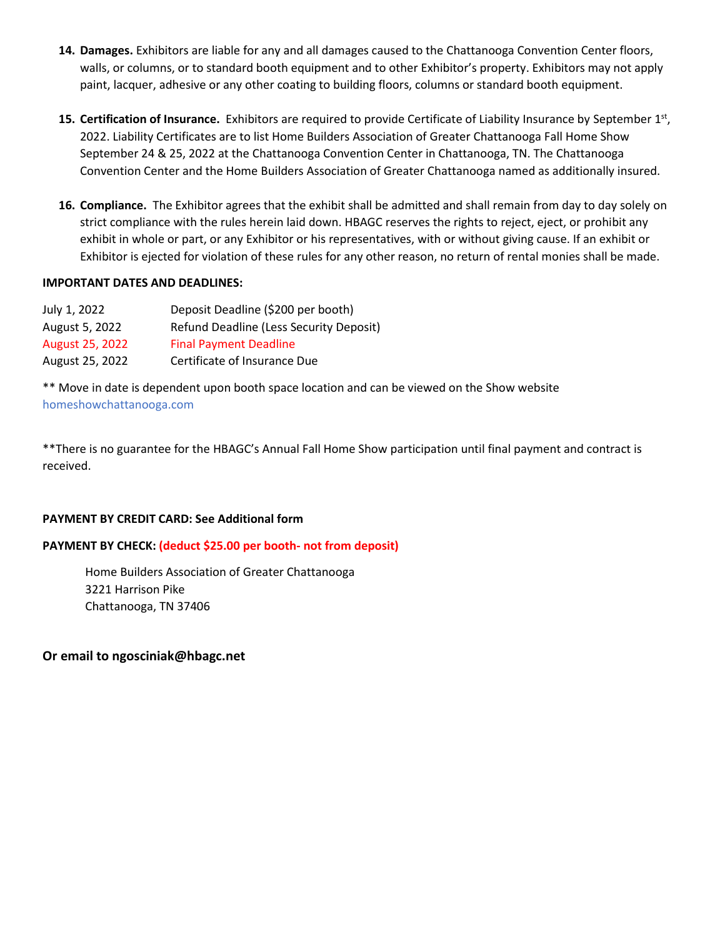- **14. Damages.** Exhibitors are liable for any and all damages caused to the Chattanooga Convention Center floors, walls, or columns, or to standard booth equipment and to other Exhibitor's property. Exhibitors may not apply paint, lacquer, adhesive or any other coating to building floors, columns or standard booth equipment.
- 15. Certification of Insurance. Exhibitors are required to provide Certificate of Liability Insurance by September 1st, 2022. Liability Certificates are to list Home Builders Association of Greater Chattanooga Fall Home Show September 24 & 25, 2022 at the Chattanooga Convention Center in Chattanooga, TN. The Chattanooga Convention Center and the Home Builders Association of Greater Chattanooga named as additionally insured.
- **16. Compliance.** The Exhibitor agrees that the exhibit shall be admitted and shall remain from day to day solely on strict compliance with the rules herein laid down. HBAGC reserves the rights to reject, eject, or prohibit any exhibit in whole or part, or any Exhibitor or his representatives, with or without giving cause. If an exhibit or Exhibitor is ejected for violation of these rules for any other reason, no return of rental monies shall be made.

### **IMPORTANT DATES AND DEADLINES:**

| July 1, 2022    | Deposit Deadline (\$200 per booth)      |
|-----------------|-----------------------------------------|
| August 5, 2022  | Refund Deadline (Less Security Deposit) |
| August 25, 2022 | <b>Final Payment Deadline</b>           |
| August 25, 2022 | Certificate of Insurance Due            |

\*\* Move in date is dependent upon booth space location and can be viewed on the Show website homeshowchattanooga.com

\*\*There is no guarantee for the HBAGC's Annual Fall Home Show participation until final payment and contract is received.

#### **PAYMENT BY CREDIT CARD: See Additional form**

#### **PAYMENT BY CHECK: (deduct \$25.00 per booth- not from deposit)**

Home Builders Association of Greater Chattanooga 3221 Harrison Pike Chattanooga, TN 37406

**Or email to ngosciniak@hbagc.net**